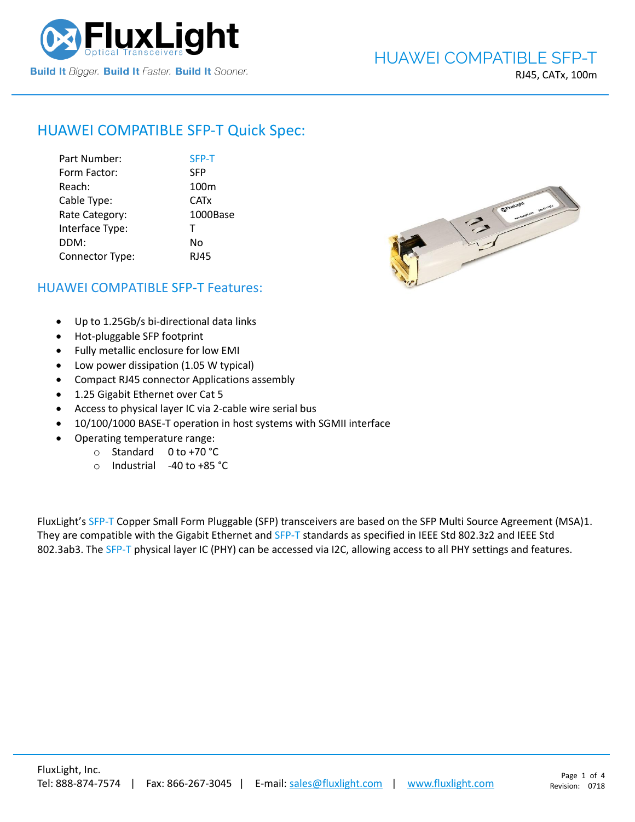

# HUAWEI COMPATIBLE [SFP-T](https://www.fluxlight.com/sfp-t/) Quick Spec:

| Part Number:    | SFP-T            |
|-----------------|------------------|
| Form Factor:    | <b>SFP</b>       |
| Reach:          | 100 <sub>m</sub> |
| Cable Type:     | <b>CATx</b>      |
| Rate Category:  | 1000Base         |
| Interface Type: | Τ                |
| DDM:            | No               |
| Connector Type: | <b>RJ45</b>      |



## HUAWEI COMPATIBLE [SFP-T](https://www.fluxlight.com/sfp-t/) Features:

- Up to 1.25Gb/s bi-directional data links
- Hot-pluggable SFP footprint
- Fully metallic enclosure for low EMI
- Low power dissipation (1.05 W typical)
- Compact RJ45 connector Applications assembly
- 1.25 Gigabit Ethernet over Cat 5
- Access to physical layer IC via 2-cable wire serial bus
- 10/100/1000 BASE-T operation in host systems with SGMII interface
- Operating temperature range:
	- o Standard 0 to +70 °C
	- o Industrial -40 to +85 °C

FluxLight's [SFP-T](https://www.fluxlight.com/sfp-t/) Copper Small Form Pluggable (SFP) transceivers are based on the SFP Multi Source Agreement (MSA)1. They are compatible with the Gigabit Ethernet and [SFP-T](https://www.fluxlight.com/sfp-t/) standards as specified in IEEE Std 802.3z2 and IEEE Std 802.3ab3. The [SFP-T](https://www.fluxlight.com/sfp-t/) physical layer IC (PHY) can be accessed via I2C, allowing access to all PHY settings and features.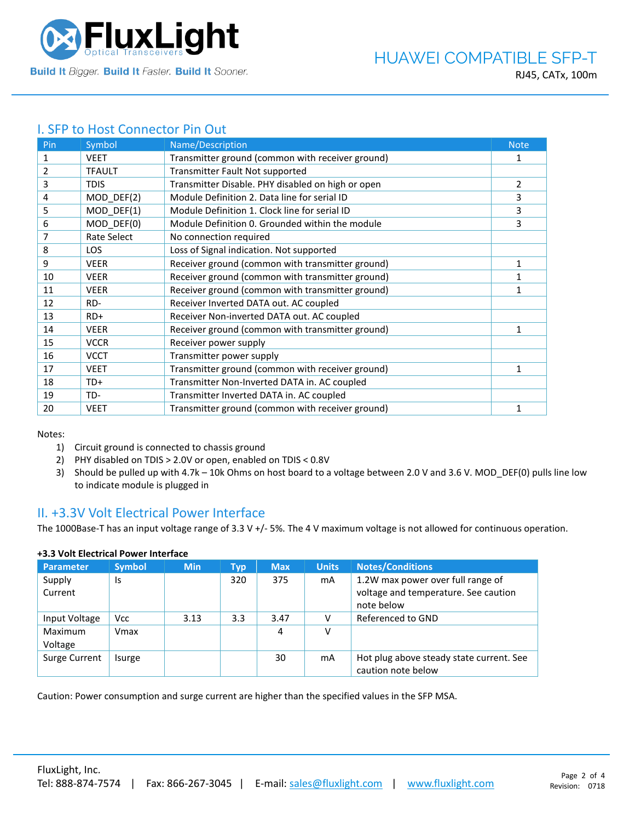

## I. SFP to Host Connector Pin Out

| Pin | Symbol        | Name/Description                                  | <b>Note</b>  |
|-----|---------------|---------------------------------------------------|--------------|
| 1   | <b>VEET</b>   | Transmitter ground (common with receiver ground)  | 1            |
| 2   | <b>TFAULT</b> | Transmitter Fault Not supported                   |              |
| 3   | <b>TDIS</b>   | Transmitter Disable. PHY disabled on high or open | 2            |
| 4   | MOD_DEF(2)    | Module Definition 2. Data line for serial ID      | 3            |
| 5   | MOD_DEF(1)    | Module Definition 1. Clock line for serial ID     | 3            |
| 6   | MOD DEF(0)    | Module Definition 0. Grounded within the module   | 3            |
| 7   | Rate Select   | No connection required                            |              |
| 8   | <b>LOS</b>    | Loss of Signal indication. Not supported          |              |
| 9   | <b>VEER</b>   | Receiver ground (common with transmitter ground)  | 1            |
| 10  | <b>VEER</b>   | Receiver ground (common with transmitter ground)  |              |
| 11  | <b>VEER</b>   | Receiver ground (common with transmitter ground)  | 1            |
| 12  | RD-           | Receiver Inverted DATA out. AC coupled            |              |
| 13  | $RD+$         | Receiver Non-inverted DATA out. AC coupled        |              |
| 14  | <b>VEER</b>   | Receiver ground (common with transmitter ground)  | 1            |
| 15  | <b>VCCR</b>   | Receiver power supply                             |              |
| 16  | <b>VCCT</b>   | Transmitter power supply                          |              |
| 17  | <b>VEET</b>   | Transmitter ground (common with receiver ground)  | 1            |
| 18  | TD+           | Transmitter Non-Inverted DATA in. AC coupled      |              |
| 19  | TD-           | Transmitter Inverted DATA in. AC coupled          |              |
| 20  | <b>VEET</b>   | Transmitter ground (common with receiver ground)  | $\mathbf{1}$ |

Notes:

- 1) Circuit ground is connected to chassis ground
- 2) PHY disabled on TDIS > 2.0V or open, enabled on TDIS < 0.8V
- 3) Should be pulled up with 4.7k 10k Ohms on host board to a voltage between 2.0 V and 3.6 V. MOD\_DEF(0) pulls line low to indicate module is plugged in

### II. +3.3V Volt Electrical Power Interface

The 1000Base-T has an input voltage range of 3.3 V +/- 5%. The 4 V maximum voltage is not allowed for continuous operation.

| <b>Parameter</b>   | <b>Symbol</b> | <b>Min</b> | Typ | <b>Max</b> | <b>Units</b> | <b>Notes/Conditions</b>                                                                 |
|--------------------|---------------|------------|-----|------------|--------------|-----------------------------------------------------------------------------------------|
| Supply<br>Current  | Is            |            | 320 | 375        | mA           | 1.2W max power over full range of<br>voltage and temperature. See caution<br>note below |
| Input Voltage      | <b>Vcc</b>    | 3.13       | 3.3 | 3.47       |              | Referenced to GND                                                                       |
| Maximum<br>Voltage | Vmax          |            |     | 4          | ν            |                                                                                         |
| Surge Current      | Isurge        |            |     | 30         | mA           | Hot plug above steady state current. See<br>caution note below                          |

#### **+3.3 Volt Electrical Power Interface**

Caution: Power consumption and surge current are higher than the specified values in the SFP MSA.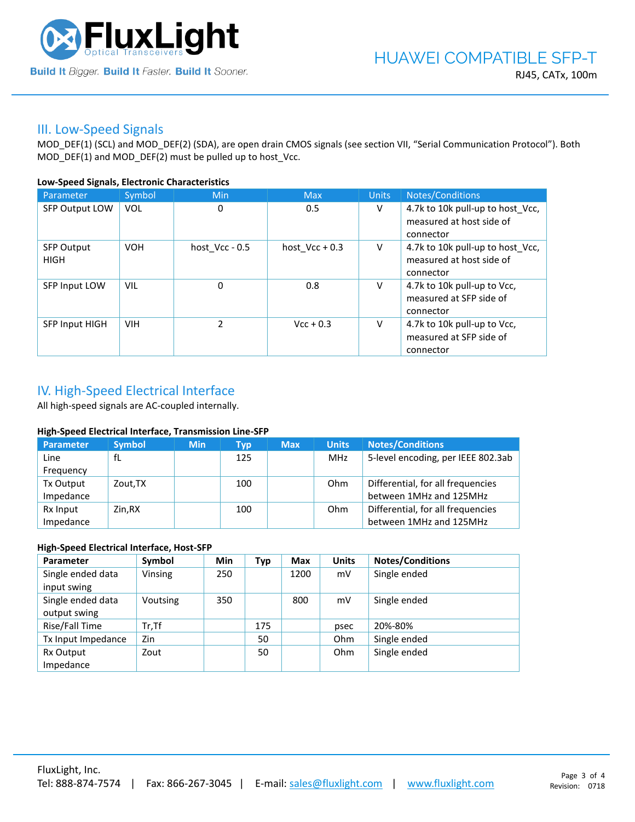

### III. Low-Speed Signals

MOD\_DEF(1) (SCL) and MOD\_DEF(2) (SDA), are open drain CMOS signals (see section VII, "Serial Communication Protocol"). Both MOD\_DEF(1) and MOD\_DEF(2) must be pulled up to host\_Vcc.

### **Low-Speed Signals, Electronic Characteristics**

| Parameter                        | Symbol     | Min            | <b>Max</b>       | <b>Units</b> | Notes/Conditions                                                          |
|----------------------------------|------------|----------------|------------------|--------------|---------------------------------------------------------------------------|
| SFP Output LOW                   | VOL        | 0              | 0.5              | v            | 4.7k to 10k pull-up to host_Vcc,<br>measured at host side of<br>connector |
| <b>SFP Output</b><br><b>HIGH</b> | <b>VOH</b> | host Vcc - 0.5 | host $Vec + 0.3$ | V            | 4.7k to 10k pull-up to host Vcc,<br>measured at host side of<br>connector |
| SFP Input LOW                    | VIL        | $\mathbf 0$    | 0.8              | V            | 4.7k to 10k pull-up to Vcc,<br>measured at SFP side of<br>connector       |
| <b>SFP Input HIGH</b>            | <b>VIH</b> | $\mathcal{P}$  | $Vcc + 0.3$      | V            | 4.7k to 10k pull-up to Vcc,<br>measured at SFP side of<br>connector       |

# IV. High-Speed Electrical Interface

All high-speed signals are AC-coupled internally.

#### **High-Speed Electrical Interface, Transmission Line-SFP**

| Parameter | <b>Symbol</b> | <b>Min</b> | Typ | <b>Max</b> | <b>Units</b> | <b>Notes/Conditions</b>            |
|-----------|---------------|------------|-----|------------|--------------|------------------------------------|
| Line      | fL            |            | 125 |            | MHz          | 5-level encoding, per IEEE 802.3ab |
| Frequency |               |            |     |            |              |                                    |
| Tx Output | Zout, TX      |            | 100 |            | Ohm          | Differential, for all frequencies  |
| Impedance |               |            |     |            |              | between 1MHz and 125MHz            |
| Rx Input  | Zin.RX        |            | 100 |            | Ohm          | Differential, for all frequencies  |
| Impedance |               |            |     |            |              | between 1MHz and 125MHz            |

#### **High-Speed Electrical Interface, Host-SFP**

| Parameter          | Symbol   | <b>Min</b> | Typ | <b>Max</b> | <b>Units</b> | <b>Notes/Conditions</b> |
|--------------------|----------|------------|-----|------------|--------------|-------------------------|
| Single ended data  | Vinsing  | 250        |     | 1200       | mV           | Single ended            |
| input swing        |          |            |     |            |              |                         |
| Single ended data  | Voutsing | 350        |     | 800        | mV           | Single ended            |
| output swing       |          |            |     |            |              |                         |
| Rise/Fall Time     | $Tr.$ Tf |            | 175 |            | psec         | 20%-80%                 |
| Tx Input Impedance | Zin      |            | 50  |            | Ohm          | Single ended            |
| Rx Output          | Zout     |            | 50  |            | Ohm          | Single ended            |
| Impedance          |          |            |     |            |              |                         |